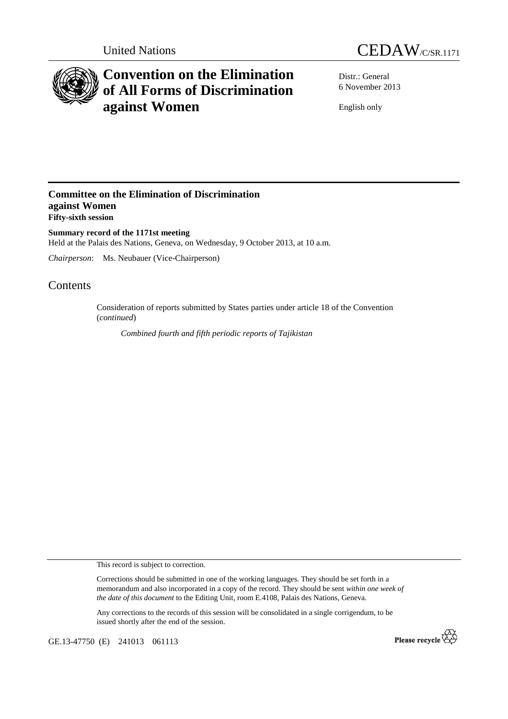



# **Convention on the Elimination of All Forms of Discrimination against Women**

Distr.: General 6 November 2013

English only

## **Committee on the Elimination of Discrimination against Women Fifty-sixth session**

**Summary record of the 1171st meeting**  Held at the Palais des Nations, Geneva, on Wednesday, 9 October 2013, at 10 a.m.

*Chairperson*: Ms. Neubauer (Vice-Chairperson)

# Contents

Consideration of reports submitted by States parties under article 18 of the Convention (*continued*)

 *Combined fourth and fifth periodic reports of Tajikistan* 

This record is subject to correction.

Corrections should be submitted in one of the working languages. They should be set forth in a memorandum and also incorporated in a copy of the record. They should be sent *within one week of the date of this document* to the Editing Unit, room E.4108, Palais des Nations, Geneva.

Any corrections to the records of this session will be consolidated in a single corrigendum, to be issued shortly after the end of the session.

GE.13-47750 (E) 241013 061113

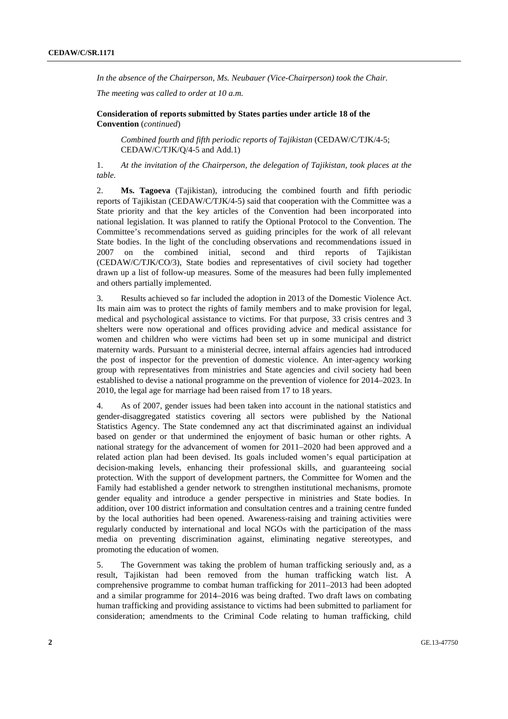*In the absence of the Chairperson, Ms. Neubauer (Vice-Chairperson) took the Chair.* 

*The meeting was called to order at 10 a.m.* 

### **Consideration of reports submitted by States parties under article 18 of the Convention** (*continued*)

*Combined fourth and fifth periodic reports of Tajikistan* (CEDAW/C/TJK/4-5; CEDAW/C/TJK/Q/4-5 and Add.1)

1. *At the invitation of the Chairperson, the delegation of Tajikistan, took places at the table.* 

2. **Ms. Tagoeva** (Tajikistan), introducing the combined fourth and fifth periodic reports of Tajikistan (CEDAW/C/TJK/4-5) said that cooperation with the Committee was a State priority and that the key articles of the Convention had been incorporated into national legislation. It was planned to ratify the Optional Protocol to the Convention. The Committee's recommendations served as guiding principles for the work of all relevant State bodies. In the light of the concluding observations and recommendations issued in 2007 on the combined initial, second and third reports of Tajikistan (CEDAW/C/TJK/CO/3), State bodies and representatives of civil society had together drawn up a list of follow-up measures. Some of the measures had been fully implemented and others partially implemented.

3. Results achieved so far included the adoption in 2013 of the Domestic Violence Act. Its main aim was to protect the rights of family members and to make provision for legal, medical and psychological assistance to victims. For that purpose, 33 crisis centres and 3 shelters were now operational and offices providing advice and medical assistance for women and children who were victims had been set up in some municipal and district maternity wards. Pursuant to a ministerial decree, internal affairs agencies had introduced the post of inspector for the prevention of domestic violence. An inter-agency working group with representatives from ministries and State agencies and civil society had been established to devise a national programme on the prevention of violence for 2014–2023. In 2010, the legal age for marriage had been raised from 17 to 18 years.

4. As of 2007, gender issues had been taken into account in the national statistics and gender-disaggregated statistics covering all sectors were published by the National Statistics Agency. The State condemned any act that discriminated against an individual based on gender or that undermined the enjoyment of basic human or other rights. A national strategy for the advancement of women for 2011–2020 had been approved and a related action plan had been devised. Its goals included women's equal participation at decision-making levels, enhancing their professional skills, and guaranteeing social protection. With the support of development partners, the Committee for Women and the Family had established a gender network to strengthen institutional mechanisms, promote gender equality and introduce a gender perspective in ministries and State bodies. In addition, over 100 district information and consultation centres and a training centre funded by the local authorities had been opened. Awareness-raising and training activities were regularly conducted by international and local NGOs with the participation of the mass media on preventing discrimination against, eliminating negative stereotypes, and promoting the education of women.

5. The Government was taking the problem of human trafficking seriously and, as a result, Tajikistan had been removed from the human trafficking watch list. A comprehensive programme to combat human trafficking for 2011–2013 had been adopted and a similar programme for 2014–2016 was being drafted. Two draft laws on combating human trafficking and providing assistance to victims had been submitted to parliament for consideration; amendments to the Criminal Code relating to human trafficking, child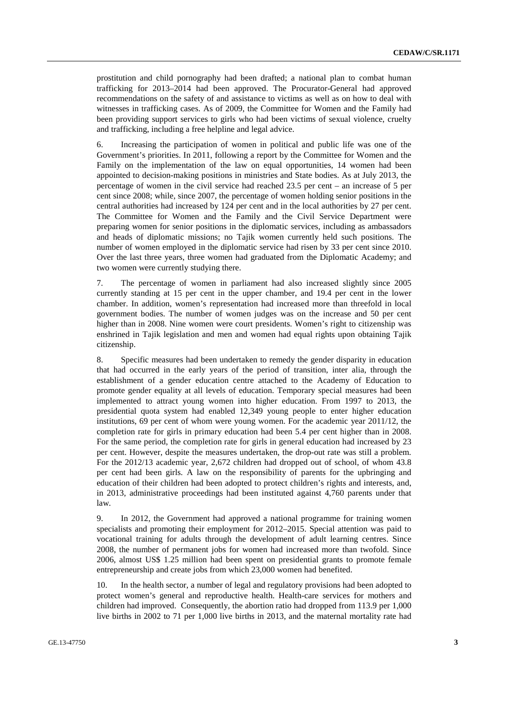prostitution and child pornography had been drafted; a national plan to combat human trafficking for 2013–2014 had been approved. The Procurator-General had approved recommendations on the safety of and assistance to victims as well as on how to deal with witnesses in trafficking cases. As of 2009, the Committee for Women and the Family had been providing support services to girls who had been victims of sexual violence, cruelty and trafficking, including a free helpline and legal advice.

6. Increasing the participation of women in political and public life was one of the Government's priorities. In 2011, following a report by the Committee for Women and the Family on the implementation of the law on equal opportunities, 14 women had been appointed to decision-making positions in ministries and State bodies. As at July 2013, the percentage of women in the civil service had reached 23.5 per cent – an increase of 5 per cent since 2008; while, since 2007, the percentage of women holding senior positions in the central authorities had increased by 124 per cent and in the local authorities by 27 per cent. The Committee for Women and the Family and the Civil Service Department were preparing women for senior positions in the diplomatic services, including as ambassadors and heads of diplomatic missions; no Tajik women currently held such positions. The number of women employed in the diplomatic service had risen by 33 per cent since 2010. Over the last three years, three women had graduated from the Diplomatic Academy; and two women were currently studying there.

7. The percentage of women in parliament had also increased slightly since 2005 currently standing at 15 per cent in the upper chamber, and 19.4 per cent in the lower chamber. In addition, women's representation had increased more than threefold in local government bodies. The number of women judges was on the increase and 50 per cent higher than in 2008. Nine women were court presidents. Women's right to citizenship was enshrined in Tajik legislation and men and women had equal rights upon obtaining Tajik citizenship.

8. Specific measures had been undertaken to remedy the gender disparity in education that had occurred in the early years of the period of transition, inter alia, through the establishment of a gender education centre attached to the Academy of Education to promote gender equality at all levels of education. Temporary special measures had been implemented to attract young women into higher education. From 1997 to 2013, the presidential quota system had enabled 12,349 young people to enter higher education institutions, 69 per cent of whom were young women. For the academic year 2011/12, the completion rate for girls in primary education had been 5.4 per cent higher than in 2008. For the same period, the completion rate for girls in general education had increased by 23 per cent. However, despite the measures undertaken, the drop-out rate was still a problem. For the 2012/13 academic year, 2,672 children had dropped out of school, of whom 43.8 per cent had been girls. A law on the responsibility of parents for the upbringing and education of their children had been adopted to protect children's rights and interests, and, in 2013, administrative proceedings had been instituted against 4,760 parents under that law.

9. In 2012, the Government had approved a national programme for training women specialists and promoting their employment for 2012–2015. Special attention was paid to vocational training for adults through the development of adult learning centres. Since 2008, the number of permanent jobs for women had increased more than twofold. Since 2006, almost US\$ 1.25 million had been spent on presidential grants to promote female entrepreneurship and create jobs from which 23,000 women had benefited.

10. In the health sector, a number of legal and regulatory provisions had been adopted to protect women's general and reproductive health. Health-care services for mothers and children had improved. Consequently, the abortion ratio had dropped from 113.9 per 1,000 live births in 2002 to 71 per 1,000 live births in 2013, and the maternal mortality rate had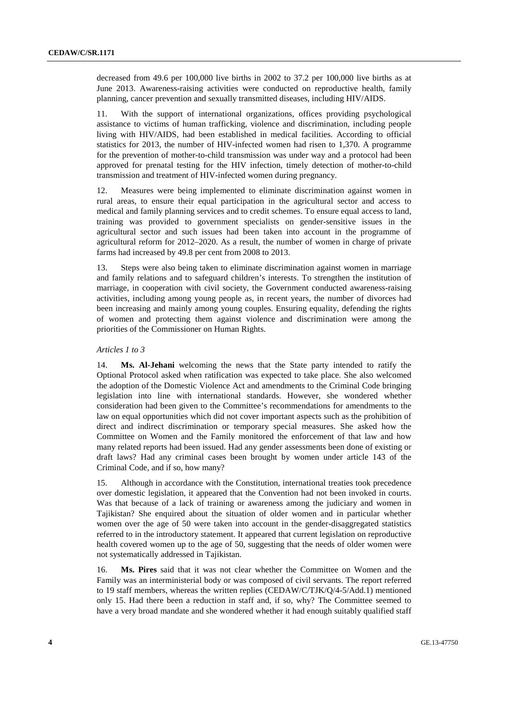decreased from 49.6 per 100,000 live births in 2002 to 37.2 per 100,000 live births as at June 2013. Awareness-raising activities were conducted on reproductive health, family planning, cancer prevention and sexually transmitted diseases, including HIV/AIDS.

11. With the support of international organizations, offices providing psychological assistance to victims of human trafficking, violence and discrimination, including people living with HIV/AIDS, had been established in medical facilities. According to official statistics for 2013, the number of HIV-infected women had risen to 1,370. A programme for the prevention of mother-to-child transmission was under way and a protocol had been approved for prenatal testing for the HIV infection, timely detection of mother-to-child transmission and treatment of HIV-infected women during pregnancy.

12. Measures were being implemented to eliminate discrimination against women in rural areas, to ensure their equal participation in the agricultural sector and access to medical and family planning services and to credit schemes. To ensure equal access to land, training was provided to government specialists on gender-sensitive issues in the agricultural sector and such issues had been taken into account in the programme of agricultural reform for 2012–2020. As a result, the number of women in charge of private farms had increased by 49.8 per cent from 2008 to 2013.

13. Steps were also being taken to eliminate discrimination against women in marriage and family relations and to safeguard children's interests. To strengthen the institution of marriage, in cooperation with civil society, the Government conducted awareness-raising activities, including among young people as, in recent years, the number of divorces had been increasing and mainly among young couples. Ensuring equality, defending the rights of women and protecting them against violence and discrimination were among the priorities of the Commissioner on Human Rights.

#### *Articles 1 to 3*

14. **Ms. Al-Jehani** welcoming the news that the State party intended to ratify the Optional Protocol asked when ratification was expected to take place. She also welcomed the adoption of the Domestic Violence Act and amendments to the Criminal Code bringing legislation into line with international standards. However, she wondered whether consideration had been given to the Committee's recommendations for amendments to the law on equal opportunities which did not cover important aspects such as the prohibition of direct and indirect discrimination or temporary special measures. She asked how the Committee on Women and the Family monitored the enforcement of that law and how many related reports had been issued. Had any gender assessments been done of existing or draft laws? Had any criminal cases been brought by women under article 143 of the Criminal Code, and if so, how many?

15. Although in accordance with the Constitution, international treaties took precedence over domestic legislation, it appeared that the Convention had not been invoked in courts. Was that because of a lack of training or awareness among the judiciary and women in Tajikistan? She enquired about the situation of older women and in particular whether women over the age of 50 were taken into account in the gender-disaggregated statistics referred to in the introductory statement. It appeared that current legislation on reproductive health covered women up to the age of 50, suggesting that the needs of older women were not systematically addressed in Tajikistan.

16. **Ms. Pires** said that it was not clear whether the Committee on Women and the Family was an interministerial body or was composed of civil servants. The report referred to 19 staff members, whereas the written replies (CEDAW/C/TJK/Q/4-5/Add.1) mentioned only 15. Had there been a reduction in staff and, if so, why? The Committee seemed to have a very broad mandate and she wondered whether it had enough suitably qualified staff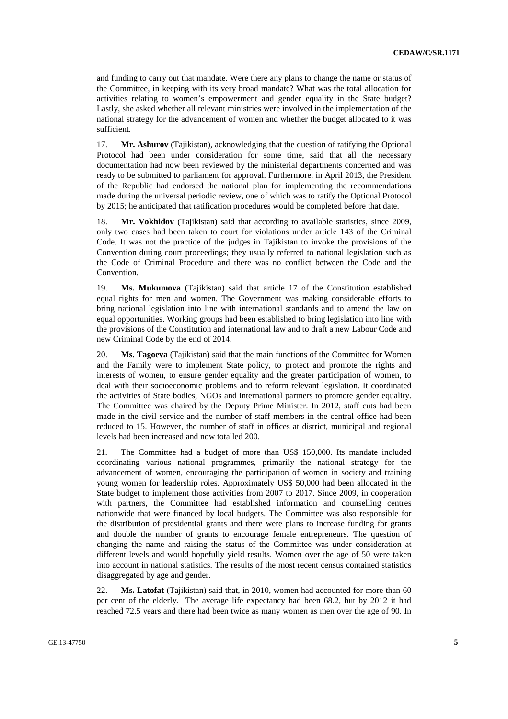and funding to carry out that mandate. Were there any plans to change the name or status of the Committee, in keeping with its very broad mandate? What was the total allocation for activities relating to women's empowerment and gender equality in the State budget? Lastly, she asked whether all relevant ministries were involved in the implementation of the national strategy for the advancement of women and whether the budget allocated to it was sufficient.

17. **Mr. Ashurov** (Tajikistan), acknowledging that the question of ratifying the Optional Protocol had been under consideration for some time, said that all the necessary documentation had now been reviewed by the ministerial departments concerned and was ready to be submitted to parliament for approval. Furthermore, in April 2013, the President of the Republic had endorsed the national plan for implementing the recommendations made during the universal periodic review, one of which was to ratify the Optional Protocol by 2015; he anticipated that ratification procedures would be completed before that date.

18. **Mr. Vokhidov** (Tajikistan) said that according to available statistics, since 2009, only two cases had been taken to court for violations under article 143 of the Criminal Code. It was not the practice of the judges in Tajikistan to invoke the provisions of the Convention during court proceedings; they usually referred to national legislation such as the Code of Criminal Procedure and there was no conflict between the Code and the Convention.

19. **Ms. Mukumova** (Tajikistan) said that article 17 of the Constitution established equal rights for men and women. The Government was making considerable efforts to bring national legislation into line with international standards and to amend the law on equal opportunities. Working groups had been established to bring legislation into line with the provisions of the Constitution and international law and to draft a new Labour Code and new Criminal Code by the end of 2014.

20. **Ms. Tagoeva** (Tajikistan) said that the main functions of the Committee for Women and the Family were to implement State policy, to protect and promote the rights and interests of women, to ensure gender equality and the greater participation of women, to deal with their socioeconomic problems and to reform relevant legislation. It coordinated the activities of State bodies, NGOs and international partners to promote gender equality. The Committee was chaired by the Deputy Prime Minister. In 2012, staff cuts had been made in the civil service and the number of staff members in the central office had been reduced to 15. However, the number of staff in offices at district, municipal and regional levels had been increased and now totalled 200.

21. The Committee had a budget of more than US\$ 150,000. Its mandate included coordinating various national programmes, primarily the national strategy for the advancement of women, encouraging the participation of women in society and training young women for leadership roles. Approximately US\$ 50,000 had been allocated in the State budget to implement those activities from 2007 to 2017. Since 2009, in cooperation with partners, the Committee had established information and counselling centres nationwide that were financed by local budgets. The Committee was also responsible for the distribution of presidential grants and there were plans to increase funding for grants and double the number of grants to encourage female entrepreneurs. The question of changing the name and raising the status of the Committee was under consideration at different levels and would hopefully yield results. Women over the age of 50 were taken into account in national statistics. The results of the most recent census contained statistics disaggregated by age and gender.

22. **Ms. Latofat** (Tajikistan) said that, in 2010, women had accounted for more than 60 per cent of the elderly. The average life expectancy had been 68.2, but by 2012 it had reached 72.5 years and there had been twice as many women as men over the age of 90. In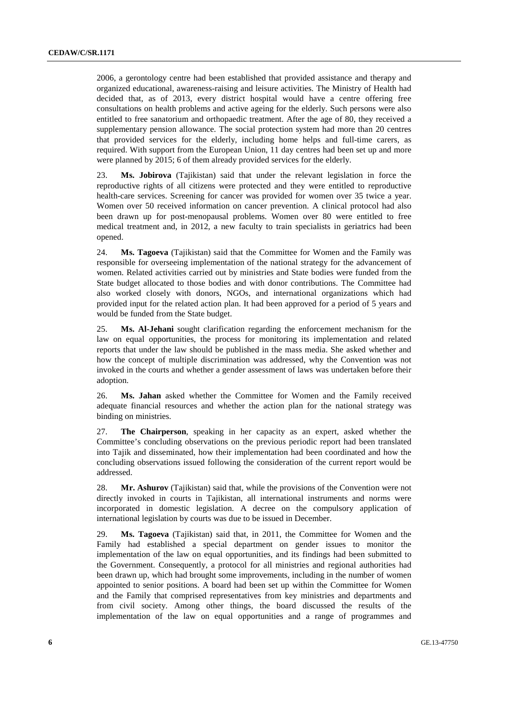2006, a gerontology centre had been established that provided assistance and therapy and organized educational, awareness-raising and leisure activities. The Ministry of Health had decided that, as of 2013, every district hospital would have a centre offering free consultations on health problems and active ageing for the elderly. Such persons were also entitled to free sanatorium and orthopaedic treatment. After the age of 80, they received a supplementary pension allowance. The social protection system had more than 20 centres that provided services for the elderly, including home helps and full-time carers, as required. With support from the European Union, 11 day centres had been set up and more were planned by 2015; 6 of them already provided services for the elderly.

23. **Ms. Jobirova** (Tajikistan) said that under the relevant legislation in force the reproductive rights of all citizens were protected and they were entitled to reproductive health-care services. Screening for cancer was provided for women over 35 twice a year. Women over 50 received information on cancer prevention. A clinical protocol had also been drawn up for post-menopausal problems. Women over 80 were entitled to free medical treatment and, in 2012, a new faculty to train specialists in geriatrics had been opened.

24. **Ms. Tagoeva** (Tajikistan) said that the Committee for Women and the Family was responsible for overseeing implementation of the national strategy for the advancement of women. Related activities carried out by ministries and State bodies were funded from the State budget allocated to those bodies and with donor contributions. The Committee had also worked closely with donors, NGOs, and international organizations which had provided input for the related action plan. It had been approved for a period of 5 years and would be funded from the State budget.

25. **Ms. Al-Jehani** sought clarification regarding the enforcement mechanism for the law on equal opportunities, the process for monitoring its implementation and related reports that under the law should be published in the mass media. She asked whether and how the concept of multiple discrimination was addressed, why the Convention was not invoked in the courts and whether a gender assessment of laws was undertaken before their adoption.

26. **Ms. Jahan** asked whether the Committee for Women and the Family received adequate financial resources and whether the action plan for the national strategy was binding on ministries.

27. **The Chairperson**, speaking in her capacity as an expert, asked whether the Committee's concluding observations on the previous periodic report had been translated into Tajik and disseminated, how their implementation had been coordinated and how the concluding observations issued following the consideration of the current report would be addressed.

28. **Mr. Ashurov** (Tajikistan) said that, while the provisions of the Convention were not directly invoked in courts in Tajikistan, all international instruments and norms were incorporated in domestic legislation. A decree on the compulsory application of international legislation by courts was due to be issued in December.

29. **Ms. Tagoeva** (Tajikistan) said that, in 2011, the Committee for Women and the Family had established a special department on gender issues to monitor the implementation of the law on equal opportunities, and its findings had been submitted to the Government. Consequently, a protocol for all ministries and regional authorities had been drawn up, which had brought some improvements, including in the number of women appointed to senior positions. A board had been set up within the Committee for Women and the Family that comprised representatives from key ministries and departments and from civil society. Among other things, the board discussed the results of the implementation of the law on equal opportunities and a range of programmes and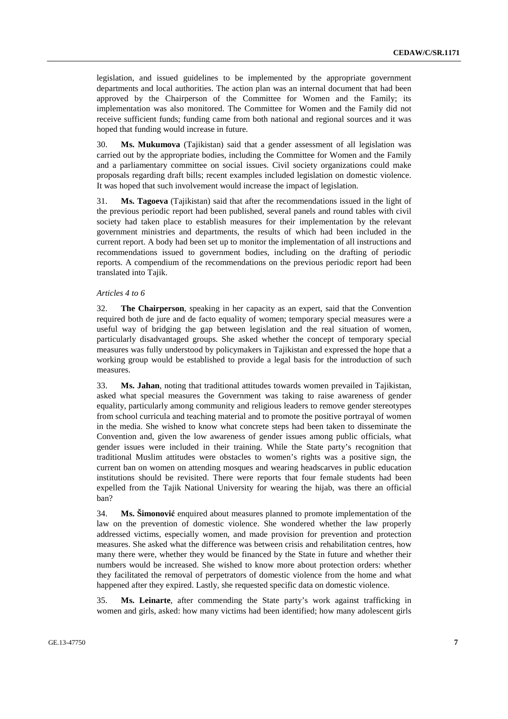legislation, and issued guidelines to be implemented by the appropriate government departments and local authorities. The action plan was an internal document that had been approved by the Chairperson of the Committee for Women and the Family; its implementation was also monitored. The Committee for Women and the Family did not receive sufficient funds; funding came from both national and regional sources and it was hoped that funding would increase in future.

30. **Ms. Mukumova** (Tajikistan) said that a gender assessment of all legislation was carried out by the appropriate bodies, including the Committee for Women and the Family and a parliamentary committee on social issues. Civil society organizations could make proposals regarding draft bills; recent examples included legislation on domestic violence. It was hoped that such involvement would increase the impact of legislation.

31. **Ms. Tagoeva** (Tajikistan) said that after the recommendations issued in the light of the previous periodic report had been published, several panels and round tables with civil society had taken place to establish measures for their implementation by the relevant government ministries and departments, the results of which had been included in the current report. A body had been set up to monitor the implementation of all instructions and recommendations issued to government bodies, including on the drafting of periodic reports. A compendium of the recommendations on the previous periodic report had been translated into Tajik.

#### *Articles 4 to 6*

32. **The Chairperson**, speaking in her capacity as an expert, said that the Convention required both de jure and de facto equality of women; temporary special measures were a useful way of bridging the gap between legislation and the real situation of women, particularly disadvantaged groups. She asked whether the concept of temporary special measures was fully understood by policymakers in Tajikistan and expressed the hope that a working group would be established to provide a legal basis for the introduction of such measures.

33. **Ms. Jahan**, noting that traditional attitudes towards women prevailed in Tajikistan, asked what special measures the Government was taking to raise awareness of gender equality, particularly among community and religious leaders to remove gender stereotypes from school curricula and teaching material and to promote the positive portrayal of women in the media. She wished to know what concrete steps had been taken to disseminate the Convention and, given the low awareness of gender issues among public officials, what gender issues were included in their training. While the State party's recognition that traditional Muslim attitudes were obstacles to women's rights was a positive sign, the current ban on women on attending mosques and wearing headscarves in public education institutions should be revisited. There were reports that four female students had been expelled from the Tajik National University for wearing the hijab, was there an official ban?

34. **Ms. Šimonović** enquired about measures planned to promote implementation of the law on the prevention of domestic violence. She wondered whether the law properly addressed victims, especially women, and made provision for prevention and protection measures. She asked what the difference was between crisis and rehabilitation centres, how many there were, whether they would be financed by the State in future and whether their numbers would be increased. She wished to know more about protection orders: whether they facilitated the removal of perpetrators of domestic violence from the home and what happened after they expired. Lastly, she requested specific data on domestic violence.

35. **Ms. Leinarte**, after commending the State party's work against trafficking in women and girls, asked: how many victims had been identified; how many adolescent girls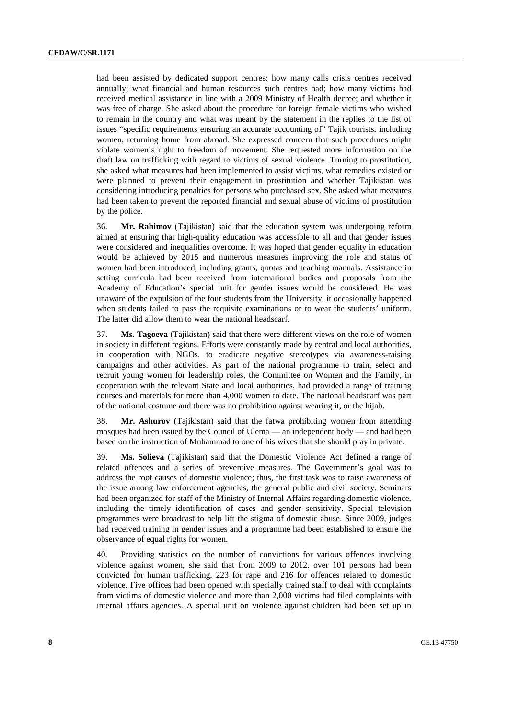had been assisted by dedicated support centres; how many calls crisis centres received annually; what financial and human resources such centres had; how many victims had received medical assistance in line with a 2009 Ministry of Health decree; and whether it was free of charge. She asked about the procedure for foreign female victims who wished to remain in the country and what was meant by the statement in the replies to the list of issues "specific requirements ensuring an accurate accounting of" Tajik tourists, including women, returning home from abroad. She expressed concern that such procedures might violate women's right to freedom of movement. She requested more information on the draft law on trafficking with regard to victims of sexual violence. Turning to prostitution, she asked what measures had been implemented to assist victims, what remedies existed or were planned to prevent their engagement in prostitution and whether Tajikistan was considering introducing penalties for persons who purchased sex. She asked what measures had been taken to prevent the reported financial and sexual abuse of victims of prostitution by the police.

36. **Mr. Rahimov** (Tajikistan) said that the education system was undergoing reform aimed at ensuring that high-quality education was accessible to all and that gender issues were considered and inequalities overcome. It was hoped that gender equality in education would be achieved by 2015 and numerous measures improving the role and status of women had been introduced, including grants, quotas and teaching manuals. Assistance in setting curricula had been received from international bodies and proposals from the Academy of Education's special unit for gender issues would be considered. He was unaware of the expulsion of the four students from the University; it occasionally happened when students failed to pass the requisite examinations or to wear the students' uniform. The latter did allow them to wear the national headscarf.

37. **Ms. Tagoeva** (Tajikistan) said that there were different views on the role of women in society in different regions. Efforts were constantly made by central and local authorities, in cooperation with NGOs, to eradicate negative stereotypes via awareness-raising campaigns and other activities. As part of the national programme to train, select and recruit young women for leadership roles, the Committee on Women and the Family, in cooperation with the relevant State and local authorities, had provided a range of training courses and materials for more than 4,000 women to date. The national headscarf was part of the national costume and there was no prohibition against wearing it, or the hijab.

38. **Mr. Ashurov** (Tajikistan) said that the fatwa prohibiting women from attending mosques had been issued by the Council of Ulema — an independent body — and had been based on the instruction of Muhammad to one of his wives that she should pray in private.

39. **Ms. Solieva** (Tajikistan) said that the Domestic Violence Act defined a range of related offences and a series of preventive measures. The Government's goal was to address the root causes of domestic violence; thus, the first task was to raise awareness of the issue among law enforcement agencies, the general public and civil society. Seminars had been organized for staff of the Ministry of Internal Affairs regarding domestic violence, including the timely identification of cases and gender sensitivity. Special television programmes were broadcast to help lift the stigma of domestic abuse. Since 2009, judges had received training in gender issues and a programme had been established to ensure the observance of equal rights for women.

40. Providing statistics on the number of convictions for various offences involving violence against women, she said that from 2009 to 2012, over 101 persons had been convicted for human trafficking, 223 for rape and 216 for offences related to domestic violence. Five offices had been opened with specially trained staff to deal with complaints from victims of domestic violence and more than 2,000 victims had filed complaints with internal affairs agencies. A special unit on violence against children had been set up in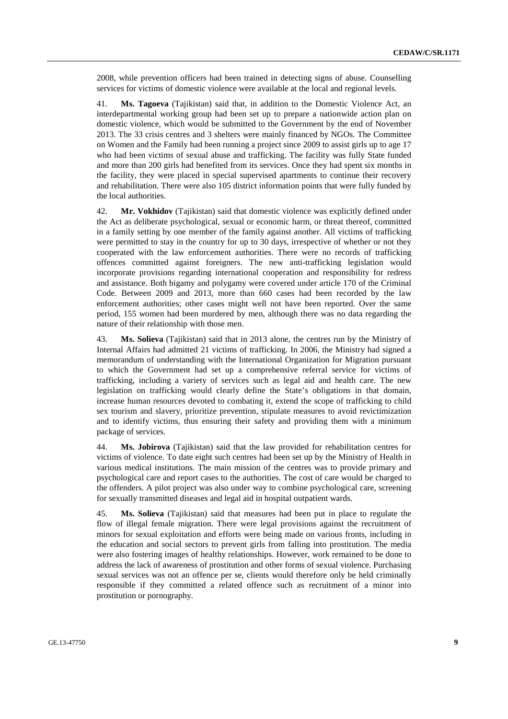2008, while prevention officers had been trained in detecting signs of abuse. Counselling services for victims of domestic violence were available at the local and regional levels.

41. **Ms. Tagoeva** (Tajikistan) said that, in addition to the Domestic Violence Act, an interdepartmental working group had been set up to prepare a nationwide action plan on domestic violence, which would be submitted to the Government by the end of November 2013. The 33 crisis centres and 3 shelters were mainly financed by NGOs. The Committee on Women and the Family had been running a project since 2009 to assist girls up to age 17 who had been victims of sexual abuse and trafficking. The facility was fully State funded and more than 200 girls had benefited from its services. Once they had spent six months in the facility, they were placed in special supervised apartments to continue their recovery and rehabilitation. There were also 105 district information points that were fully funded by the local authorities.

42. **Mr. Vokhidov** (Tajikistan) said that domestic violence was explicitly defined under the Act as deliberate psychological, sexual or economic harm, or threat thereof, committed in a family setting by one member of the family against another. All victims of trafficking were permitted to stay in the country for up to 30 days, irrespective of whether or not they cooperated with the law enforcement authorities. There were no records of trafficking offences committed against foreigners. The new anti-trafficking legislation would incorporate provisions regarding international cooperation and responsibility for redress and assistance. Both bigamy and polygamy were covered under article 170 of the Criminal Code. Between 2009 and 2013, more than 660 cases had been recorded by the law enforcement authorities; other cases might well not have been reported. Over the same period, 155 women had been murdered by men, although there was no data regarding the nature of their relationship with those men.

43. **Ms. Solieva** (Tajikistan) said that in 2013 alone, the centres run by the Ministry of Internal Affairs had admitted 21 victims of trafficking. In 2006, the Ministry had signed a memorandum of understanding with the International Organization for Migration pursuant to which the Government had set up a comprehensive referral service for victims of trafficking, including a variety of services such as legal aid and health care. The new legislation on trafficking would clearly define the State's obligations in that domain, increase human resources devoted to combating it, extend the scope of trafficking to child sex tourism and slavery, prioritize prevention, stipulate measures to avoid revictimization and to identify victims, thus ensuring their safety and providing them with a minimum package of services.

44. **Ms. Jobirova** (Tajikistan) said that the law provided for rehabilitation centres for victims of violence. To date eight such centres had been set up by the Ministry of Health in various medical institutions. The main mission of the centres was to provide primary and psychological care and report cases to the authorities. The cost of care would be charged to the offenders. A pilot project was also under way to combine psychological care, screening for sexually transmitted diseases and legal aid in hospital outpatient wards.

45. **Ms. Solieva** (Tajikistan) said that measures had been put in place to regulate the flow of illegal female migration. There were legal provisions against the recruitment of minors for sexual exploitation and efforts were being made on various fronts, including in the education and social sectors to prevent girls from falling into prostitution. The media were also fostering images of healthy relationships. However, work remained to be done to address the lack of awareness of prostitution and other forms of sexual violence. Purchasing sexual services was not an offence per se, clients would therefore only be held criminally responsible if they committed a related offence such as recruitment of a minor into prostitution or pornography.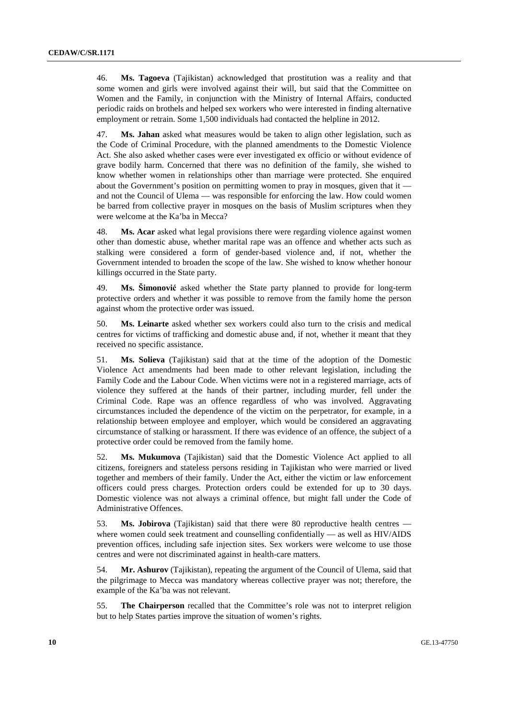46. **Ms. Tagoeva** (Tajikistan) acknowledged that prostitution was a reality and that some women and girls were involved against their will, but said that the Committee on Women and the Family, in conjunction with the Ministry of Internal Affairs, conducted periodic raids on brothels and helped sex workers who were interested in finding alternative employment or retrain. Some 1,500 individuals had contacted the helpline in 2012.

47. **Ms. Jahan** asked what measures would be taken to align other legislation, such as the Code of Criminal Procedure, with the planned amendments to the Domestic Violence Act. She also asked whether cases were ever investigated ex officio or without evidence of grave bodily harm. Concerned that there was no definition of the family, she wished to know whether women in relationships other than marriage were protected. She enquired about the Government's position on permitting women to pray in mosques, given that it  $$ and not the Council of Ulema — was responsible for enforcing the law. How could women be barred from collective prayer in mosques on the basis of Muslim scriptures when they were welcome at the Ka'ba in Mecca?

48. **Ms. Acar** asked what legal provisions there were regarding violence against women other than domestic abuse, whether marital rape was an offence and whether acts such as stalking were considered a form of gender-based violence and, if not, whether the Government intended to broaden the scope of the law. She wished to know whether honour killings occurred in the State party.

49. **Ms. Šimonović** asked whether the State party planned to provide for long-term protective orders and whether it was possible to remove from the family home the person against whom the protective order was issued.

50. **Ms. Leinarte** asked whether sex workers could also turn to the crisis and medical centres for victims of trafficking and domestic abuse and, if not, whether it meant that they received no specific assistance.

51. **Ms. Solieva** (Tajikistan) said that at the time of the adoption of the Domestic Violence Act amendments had been made to other relevant legislation, including the Family Code and the Labour Code. When victims were not in a registered marriage, acts of violence they suffered at the hands of their partner, including murder, fell under the Criminal Code. Rape was an offence regardless of who was involved. Aggravating circumstances included the dependence of the victim on the perpetrator, for example, in a relationship between employee and employer, which would be considered an aggravating circumstance of stalking or harassment. If there was evidence of an offence, the subject of a protective order could be removed from the family home.

52. **Ms. Mukumova** (Tajikistan) said that the Domestic Violence Act applied to all citizens, foreigners and stateless persons residing in Tajikistan who were married or lived together and members of their family. Under the Act, either the victim or law enforcement officers could press charges. Protection orders could be extended for up to 30 days. Domestic violence was not always a criminal offence, but might fall under the Code of Administrative Offences.

53. **Ms. Jobirova** (Tajikistan) said that there were 80 reproductive health centres where women could seek treatment and counselling confidentially — as well as HIV/AIDS prevention offices, including safe injection sites. Sex workers were welcome to use those centres and were not discriminated against in health-care matters.

54. **Mr. Ashurov** (Tajikistan), repeating the argument of the Council of Ulema, said that the pilgrimage to Mecca was mandatory whereas collective prayer was not; therefore, the example of the Ka'ba was not relevant.

55. **The Chairperson** recalled that the Committee's role was not to interpret religion but to help States parties improve the situation of women's rights.